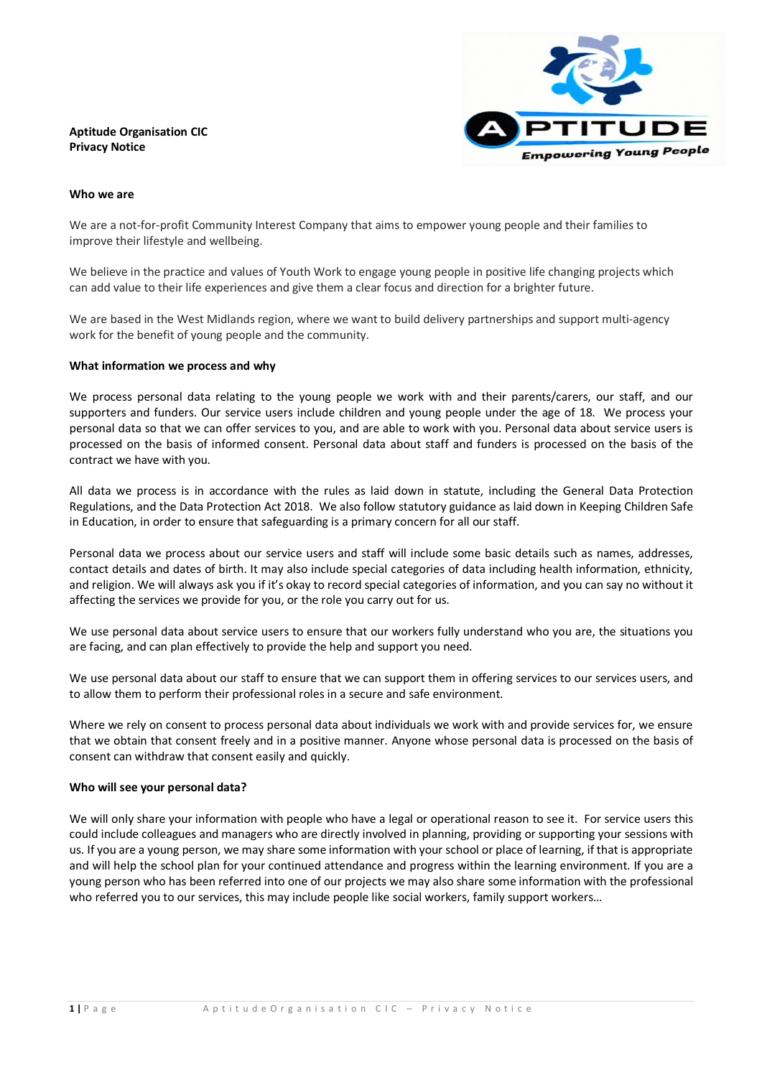# **Aptitude Organisation CIC Privacy Notice**



#### **Who we are**

We are a not-for-profit Community Interest Company that aims to empower young people and their families to improve their lifestyle and wellbeing.

We believe in the practice and values of Youth Work to engage young people in positive life changing projects which can add value to their life experiences and give them a clear focus and direction for a brighter future.

We are based in the West Midlands region, where we want to build delivery partnerships and support multi-agency work for the benefit of young people and the community.

#### **What information we process and why**

We process personal data relating to the young people we work with and their parents/carers, our staff, and our supporters and funders. Our service users include children and young people under the age of 18. We process your personal data so that we can offer services to you, and are able to work with you. Personal data about service users is processed on the basis of informed consent. Personal data about staff and funders is processed on the basis of the contract we have with you.

All data we process is in accordance with the rules as laid down in statute, including the General Data Protection Regulations, and the Data Protection Act 2018. We also follow statutory guidance as laid down in Keeping Children Safe in Education, in order to ensure that safeguarding is a primary concern for all our staff.

Personal data we process about our service users and staff will include some basic details such as names, addresses, contact details and dates of birth. It may also include special categories of data including health information, ethnicity, and religion. We will always ask you if it's okay to record special categories of information, and you can say no without it affecting the services we provide for you, or the role you carry out for us.

We use personal data about service users to ensure that our workers fully understand who you are, the situations you are facing, and can plan effectively to provide the help and support you need.

We use personal data about our staff to ensure that we can support them in offering services to our services users, and to allow them to perform their professional roles in a secure and safe environment.

Where we rely on consent to process personal data about individuals we work with and provide services for, we ensure that we obtain that consent freely and in a positive manner. Anyone whose personal data is processed on the basis of consent can withdraw that consent easily and quickly.

# **Who will see your personal data?**

We will only share your information with people who have a legal or operational reason to see it. For service users this could include colleagues and managers who are directly involved in planning, providing or supporting your sessions with us. If you are a young person, we may share some information with your school or place of learning, if that is appropriate and will help the school plan for your continued attendance and progress within the learning environment. If you are a young person who has been referred into one of our projects we may also share some information with the professional who referred you to our services, this may include people like social workers, family support workers…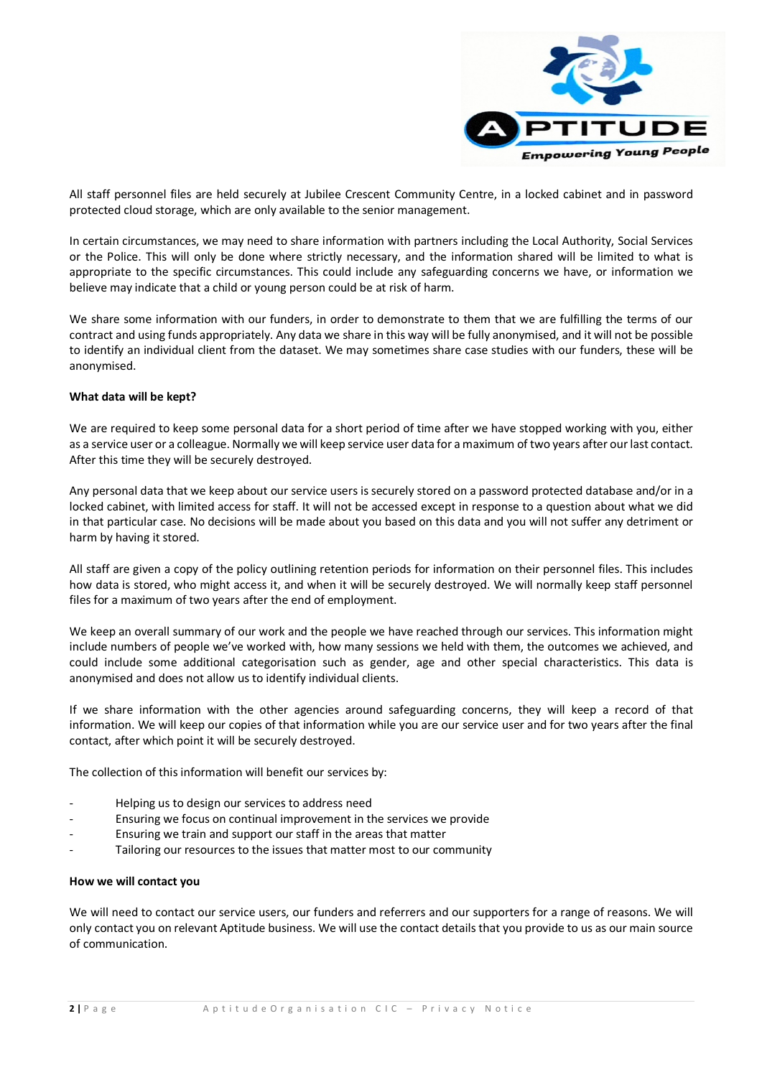

All staff personnel files are held securely at Jubilee Crescent Community Centre, in a locked cabinet and in password protected cloud storage, which are only available to the senior management.

In certain circumstances, we may need to share information with partners including the Local Authority, Social Services or the Police. This will only be done where strictly necessary, and the information shared will be limited to what is appropriate to the specific circumstances. This could include any safeguarding concerns we have, or information we believe may indicate that a child or young person could be at risk of harm.

We share some information with our funders, in order to demonstrate to them that we are fulfilling the terms of our contract and using funds appropriately. Any data we share in this way will be fully anonymised, and it will not be possible to identify an individual client from the dataset. We may sometimes share case studies with our funders, these will be anonymised.

# **What data will be kept?**

We are required to keep some personal data for a short period of time after we have stopped working with you, either as a service user or a colleague. Normally we will keep service user data for a maximum of two years after our last contact. After this time they will be securely destroyed.

Any personal data that we keep about our service users is securely stored on a password protected database and/or in a locked cabinet, with limited access for staff. It will not be accessed except in response to a question about what we did in that particular case. No decisions will be made about you based on this data and you will not suffer any detriment or harm by having it stored.

All staff are given a copy of the policy outlining retention periods for information on their personnel files. This includes how data is stored, who might access it, and when it will be securely destroyed. We will normally keep staff personnel files for a maximum of two years after the end of employment.

We keep an overall summary of our work and the people we have reached through our services. This information might include numbers of people we've worked with, how many sessions we held with them, the outcomes we achieved, and could include some additional categorisation such as gender, age and other special characteristics. This data is anonymised and does not allow us to identify individual clients.

If we share information with the other agencies around safeguarding concerns, they will keep a record of that information. We will keep our copies of that information while you are our service user and for two years after the final contact, after which point it will be securely destroyed.

The collection of this information will benefit our services by:

- Helping us to design our services to address need
- Ensuring we focus on continual improvement in the services we provide
- Ensuring we train and support our staff in the areas that matter
- Tailoring our resources to the issues that matter most to our community

#### **How we will contact you**

We will need to contact our service users, our funders and referrers and our supporters for a range of reasons. We will only contact you on relevant Aptitude business. We will use the contact details that you provide to us as our main source of communication.